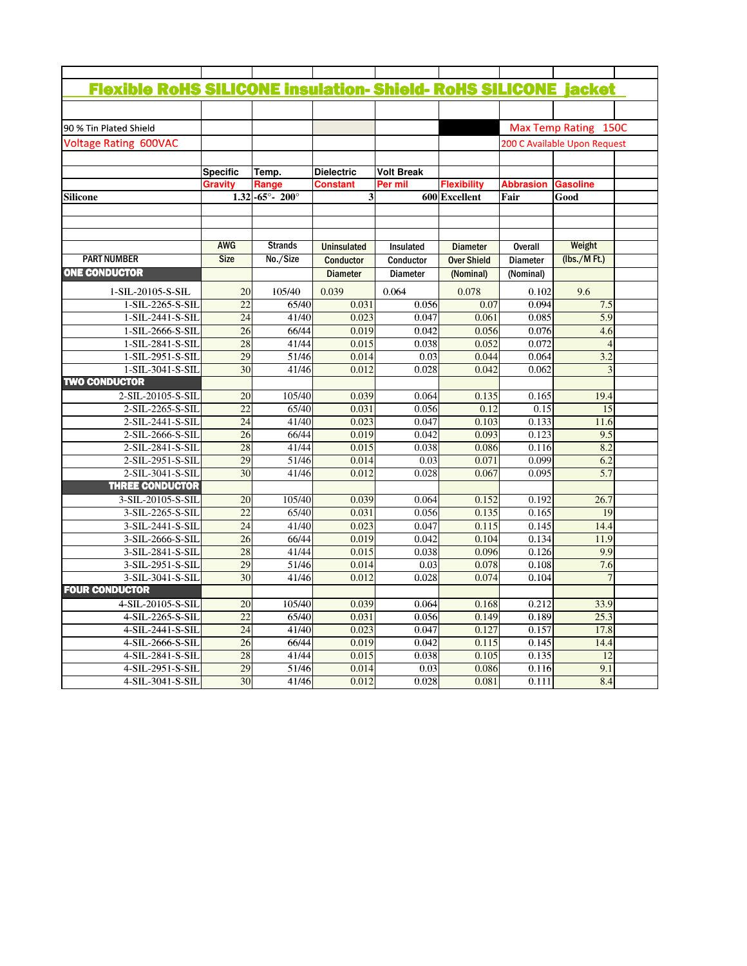|                                      |             |                    |                         | <b>Flexible RoHS SILICONE insulation- Shield- RoHS SILICONE jacket</b> |                    |                              |                  |  |  |
|--------------------------------------|-------------|--------------------|-------------------------|------------------------------------------------------------------------|--------------------|------------------------------|------------------|--|--|
|                                      |             |                    |                         |                                                                        |                    |                              |                  |  |  |
| 90 % Tin Plated Shield               |             |                    |                         |                                                                        |                    | Max Temp Rating 150C         |                  |  |  |
| <b>Voltage Rating 600VAC</b>         |             |                    |                         |                                                                        |                    | 200 C Available Upon Request |                  |  |  |
|                                      |             |                    |                         |                                                                        |                    |                              |                  |  |  |
|                                      | Specific    | Temp.              | <b>Dielectric</b>       | <b>Volt Break</b>                                                      |                    |                              |                  |  |  |
|                                      | Gravity     | Range              | Constant                | Per mil                                                                | <b>Flexibility</b> | <b>Abbrasion</b>             | <b>Gasoline</b>  |  |  |
| Silicone                             |             | $1.32$ -65° - 200° | $\overline{\mathbf{3}}$ |                                                                        | 600 Excellent      | Fair                         | Good             |  |  |
|                                      |             |                    |                         |                                                                        |                    |                              |                  |  |  |
|                                      |             |                    |                         |                                                                        |                    |                              |                  |  |  |
|                                      |             |                    |                         |                                                                        |                    |                              |                  |  |  |
|                                      | <b>AWG</b>  | <b>Strands</b>     | <b>Uninsulated</b>      | Insulated                                                              | <b>Diameter</b>    | <b>Overall</b>               | Weight           |  |  |
| <b>PART NUMBER</b>                   | <b>Size</b> | No./Size           | <b>Conductor</b>        | Conductor                                                              | <b>Over Shield</b> | <b>Diameter</b>              | (lbs./MFt.)      |  |  |
| <b>ONE CONDUCTOR</b>                 |             |                    | <b>Diameter</b>         | <b>Diameter</b>                                                        | (Nominal)          | (Nominal)                    |                  |  |  |
| 1-SIL-20105-S-SIL                    | 20          | 105/40             | 0.039                   | 0.064                                                                  | 0.078              | 0.102                        | 9.6              |  |  |
| 1-SIL-2265-S-SIL                     | 22          | 65/40              | 0.031                   | 0.056                                                                  | 0.07               | 0.094                        | 7.5              |  |  |
| 1-SIL-2441-S-SIL                     | 24          | 41/40              | 0.023                   | 0.047                                                                  | 0.061              | 0.085                        | 5.9              |  |  |
| 1-SIL-2666-S-SIL                     | 26          | 66/44              | 0.019                   | 0.042                                                                  | 0.056              | 0.076                        | 4.6              |  |  |
| 1-SIL-2841-S-SIL                     | 28          | 41/44              | 0.015                   | 0.038                                                                  | 0.052              | 0.072                        |                  |  |  |
| 1-SIL-2951-S-SIL                     | 29          | 51/46              | 0.014                   | 0.03                                                                   | 0.044              | 0.064                        | 3.2              |  |  |
| 1-SIL-3041-S-SIL                     | 30          | 41/46              | 0.012                   | 0.028                                                                  | 0.042              | 0.062                        |                  |  |  |
| <b>TWO CONDUCTOR</b>                 |             |                    |                         |                                                                        |                    |                              |                  |  |  |
| 2-SIL-20105-S-SIL                    | 20          | 105/40             | 0.039                   | 0.064                                                                  | 0.135              | 0.165                        | 19.4             |  |  |
| 2-SIL-2265-S-SIL                     | 22          | 65/40              | 0.031                   | 0.056                                                                  | 0.12               | 0.15                         |                  |  |  |
| 2-SIL-2441-S-SIL                     | 24          | 41/40              | 0.023                   | 0.047                                                                  | 0.103              | 0.133                        | 11.6             |  |  |
| 2-SIL-2666-S-SIL                     | 26          | 66/44              | 0.019                   | 0.042                                                                  | 0.093              | 0.123                        | 9.5              |  |  |
| 2-SIL-2841-S-SIL                     | 28          | 41/44              | 0.015                   | 0.038                                                                  | 0.086              | 0.116                        | 8.2              |  |  |
| 2-SIL-2951-S-SIL                     | 29          | 51/46              | 0.014                   | 0.03                                                                   | 0.071              | 0.099                        | 6.2              |  |  |
| 2-SIL-3041-S-SIL                     | 30          | 41/46              | 0.012                   | 0.028                                                                  | 0.067              | 0.095                        | $\overline{5.7}$ |  |  |
| <b>THREE CONDUCTOR</b>               |             |                    |                         |                                                                        |                    |                              |                  |  |  |
| 3-SIL-20105-S-SIL                    | 20          | 105/40             | 0.039                   | 0.064                                                                  | 0.152              | 0.192                        | 26.7             |  |  |
| 3-SIL-2265-S-SIL                     | 22          | 65/40              | 0.031                   | 0.056                                                                  | 0.135              | 0.165                        |                  |  |  |
| 3-SIL-2441-S-SIL                     | 24          | 41/40              | 0.023                   | 0.047                                                                  | 0.115              | 0.145                        | 14.4             |  |  |
| 3-SIL-2666-S-SIL                     | 26          | 66/44              | 0.019                   | 0.042                                                                  | 0.104              | 0.134                        | 11.9             |  |  |
| 3-SIL-2841-S-SIL                     | 28<br>29    | 41/44<br>51/46     | 0.015<br>0.014          | 0.038<br>0.03                                                          | 0.096<br>0.078     | 0.126<br>0.108               | 9.9<br>7.6       |  |  |
| 3-SIL-2951-S-SIL<br>3-SIL-3041-S-SIL | 30          | 41/46              | 0.012                   | 0.028                                                                  | 0.074              | 0.104                        |                  |  |  |
| <b>FOUR CONDUCTOR</b>                |             |                    |                         |                                                                        |                    |                              |                  |  |  |
| 4-SIL-20105-S-SIL                    | 20          | 105/40             | 0.039                   | 0.064                                                                  | 0.168              | 0.212                        | 33.9             |  |  |
| 4-SIL-2265-S-SIL                     | 22          | 65/40              | 0.031                   | 0.056                                                                  | 0.149              | 0.189                        | 25.3             |  |  |
| 4-SIL-2441-S-SIL                     | 24          | 41/40              | 0.023                   | 0.047                                                                  | 0.127              | 0.157                        | 17.8             |  |  |
| 4-SIL-2666-S-SIL                     | 26          | 66/44              | 0.019                   | 0.042                                                                  | 0.115              | 0.145                        | 14.4             |  |  |
| 4-SIL-2841-S-SIL                     | 28          | 41/44              | 0.015                   | 0.038                                                                  | 0.105              | 0.135                        |                  |  |  |
| 4-SIL-2951-S-SIL                     | 29          | 51/46              | 0.014                   | 0.03                                                                   | 0.086              | 0.116                        | 9.1              |  |  |
| 4-SIL-3041-S-SIL                     | 30          | 41/46              | 0.012                   | 0.028                                                                  | 0.081              | 0.111                        | 8.4              |  |  |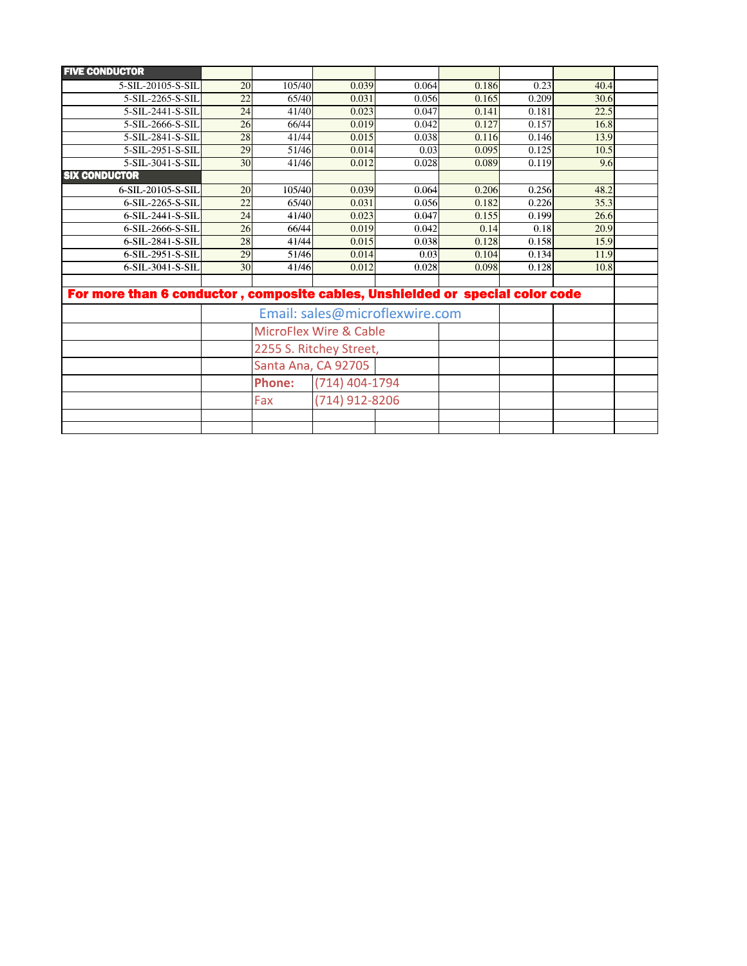| <b>FIVE CONDUCTOR</b>                                                         |                                   |                                 |                |       |       |       |      |  |  |  |  |
|-------------------------------------------------------------------------------|-----------------------------------|---------------------------------|----------------|-------|-------|-------|------|--|--|--|--|
| 5-SIL-20105-S-SIL                                                             | 20                                | 105/40                          | 0.039          | 0.064 | 0.186 | 0.23  | 40.4 |  |  |  |  |
| 5-SIL-2265-S-SIL                                                              | 22                                | 65/40                           | 0.031          | 0.056 | 0.165 | 0.209 | 30.6 |  |  |  |  |
| 5-SIL-2441-S-SIL                                                              | 24                                | 41/40                           | 0.023          | 0.047 | 0.141 | 0.181 | 22.5 |  |  |  |  |
| 5-SIL-2666-S-SIL                                                              | 26                                | 66/44                           | 0.019          | 0.042 | 0.127 | 0.157 | 16.8 |  |  |  |  |
| 5-SIL-2841-S-SIL                                                              | 28                                | 41/44                           | 0.015          | 0.038 | 0.116 | 0.146 | 13.9 |  |  |  |  |
| 5-SIL-2951-S-SIL                                                              | 29                                | 51/46                           | 0.014          | 0.03  | 0.095 | 0.125 | 10.5 |  |  |  |  |
| 5-SIL-3041-S-SIL                                                              | 30                                | 41/46                           | 0.012          | 0.028 | 0.089 | 0.119 | 9.6  |  |  |  |  |
| <b>SIX CONDUCTOR</b>                                                          |                                   |                                 |                |       |       |       |      |  |  |  |  |
| 6-SIL-20105-S-SIL                                                             | 20                                | 105/40                          | 0.039          | 0.064 | 0.206 | 0.256 | 48.2 |  |  |  |  |
| 6-SIL-2265-S-SIL                                                              | 22                                | 65/40                           | 0.031          | 0.056 | 0.182 | 0.226 | 35.3 |  |  |  |  |
| 6-SIL-2441-S-SIL                                                              | 24                                | 41/40                           | 0.023          | 0.047 | 0.155 | 0.199 | 26.6 |  |  |  |  |
| 6-SIL-2666-S-SIL                                                              | 26                                | 66/44                           | 0.019          | 0.042 | 0.14  | 0.18  | 20.9 |  |  |  |  |
| 6-SIL-2841-S-SIL                                                              | 28                                | 41/44                           | 0.015          | 0.038 | 0.128 | 0.158 | 15.9 |  |  |  |  |
| 6-SIL-2951-S-SIL                                                              | 29                                | 51/46                           | 0.014          | 0.03  | 0.104 | 0.134 | 11.9 |  |  |  |  |
| 6-SIL-3041-S-SIL                                                              | 30                                | 41/46                           | 0.012          | 0.028 | 0.098 | 0.128 | 10.8 |  |  |  |  |
|                                                                               |                                   |                                 |                |       |       |       |      |  |  |  |  |
| For more than 6 conductor, composite cables, Unshielded or special color code |                                   |                                 |                |       |       |       |      |  |  |  |  |
| Email: sales@microflexwire.com                                                |                                   |                                 |                |       |       |       |      |  |  |  |  |
|                                                                               | <b>MicroFlex Wire &amp; Cable</b> |                                 |                |       |       |       |      |  |  |  |  |
|                                                                               |                                   | 2255 S. Ritchey Street,         |                |       |       |       |      |  |  |  |  |
|                                                                               |                                   | Santa Ana, CA 92705             |                |       |       |       |      |  |  |  |  |
|                                                                               |                                   | (714) 404-1794<br><b>Phone:</b> |                |       |       |       |      |  |  |  |  |
|                                                                               |                                   | Fax                             | (714) 912-8206 |       |       |       |      |  |  |  |  |
|                                                                               |                                   |                                 |                |       |       |       |      |  |  |  |  |
|                                                                               |                                   |                                 |                |       |       |       |      |  |  |  |  |
|                                                                               |                                   |                                 |                |       |       |       |      |  |  |  |  |